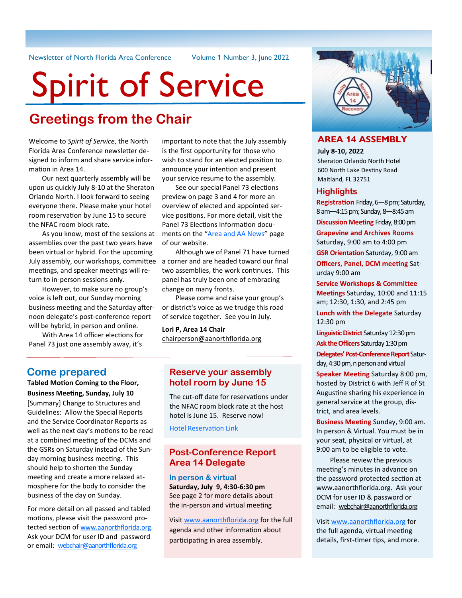Newsletter of North Florida Area Conference Volume 1 Number 3, June 2022

# Spirit of Service

## **Greetings from the Chair**

Welcome to *Spirit of Service*, the North Florida Area Conference newsletter designed to inform and share service information in Area 14.

Our next quarterly assembly will be upon us quickly July 8-10 at the Sheraton Orlando North. I look forward to seeing everyone there. Please make your hotel room reservation by June 15 to secure the NFAC room block rate.

As you know, most of the sessions at assemblies over the past two years have been virtual or hybrid. For the upcoming meetings, and speaker meetings will return to in-person sessions only.

However, to make sure no group's voice is left out, our Sunday morning business meeting and the Saturday afternoon delegate's post-conference report will be hybrid, in person and online.

With Area 14 officer elections for Panel 73 just one assembly away, it's

important to note that the July assembly is the first opportunity for those who wish to stand for an elected position to announce your intention and present your service resume to the assembly.

See our special Panel 73 elections preview on page 3 and 4 for more an overview of elected and appointed service positions. For more detail, visit the Panel 73 Elections Information docu-ments on the "[Area and AA News](https://www.aanorthflorida.org/news.asp)" page of our website.

July assembly, our workshops, committee a corner and are headed toward our final Although we of Panel 71 have turned two assemblies, the work continues. This panel has truly been one of embracing change on many fronts.

> Please come and raise your group's or district's voice as we trudge this road of service together. See you in July.

**Lori P, Area 14 Chair** [chairperson@aanorthflorida.org](mailto:chairperson@aanorthflorida.org)

## **Come prepared**

**Tabled Motion Coming to the Floor, Business Meeting, Sunday, July 10**

[Summary] Change to Structures and Guidelines: Allow the Special Reports and the Service Coordinator Reports as well as the next day's motions to be read at a combined meeting of the DCMs and the GSRs on Saturday instead of the Sunday morning business meeting. This should help to shorten the Sunday meeting and create a more relaxed atmosphere for the body to consider the business of the day on Sunday.

For more detail on all passed and tabled motions, please visit the password protected section of www.aanorthflorida.org. Ask your DCM for user ID and password or email: [webchair@aanorthflorida.org](mailto:webchair@aanorthflorida.org)

## **Reserve your assembly hotel room by June 15**

The cut-off date for reservations under the NFAC room block rate at the host hotel is June 15. Reserve now!

[Hotel Reservation Link](https://www.marriott.com/event-reservations/reservation-link.mi?id=1636133041697&key=GRP&app=resvlink)

## **Post-Conference Report Area 14 Delegate**

**In person & virtual Saturday, July 9, 4:30-6:30 pm** See page 2 for more details about the in-person and virtual meeting

Visit [www.aanorthflorida.org](https://www.aanorthflorida.org/assembly_agenda.asp) for the full agenda and other information about participating in area assembly.



## **AREA 14 ASSEMBLY**

**July 8-10, 2022**

Sheraton Orlando North Hotel 600 North Lake Destiny Road Maitland, FL 32751

## **Highlights**

**Registration** Friday, 6—8 pm; Saturday, 8 am—4:15 pm; Sunday, 8—8:45 am

**Discussion Meeting** Friday, 8:00 pm

**Grapevine and Archives Rooms** Saturday, 9:00 am to 4:00 pm

**GSR Orientation** Saturday, 9:00 am **Officers, Panel, DCM meeting** Sat-

urday 9:00 am

**Service Workshops & Committee Meetings** Saturday, 10:00 and 11:15 am; 12:30, 1:30, and 2:45 pm

**Lunch with the Delegate** Saturday 12:30 pm

**Linguistic District** Saturday 12:30 pm **Ask the Officers** Saturday 1:30 pm

**Delegates' Post-Conference Report** Saturday, 4:30 pm, n person and virtual

**Speaker Meeting** Saturday 8:00 pm, hosted by District 6 with Jeff R of St Augustine sharing his experience in general service at the group, district, and area levels.

**Business Meeting** Sunday, 9:00 am. In person & Virtual. You must be in your seat, physical or virtual, at 9:00 am to be eligible to vote.

Please review the previous meeting's minutes in advance on the password protected section at www.aanorthflorida.org. Ask your DCM for user ID & password or email: [webchair@aanorthflorida.org](mailto:webchair@aanorthflorida.org)

Visit [www.aanorthflorida.org](https://www.aanorthflorida.org/assembly_agenda.asp) for the full agenda, virtual meeting details, first-timer tips, and more.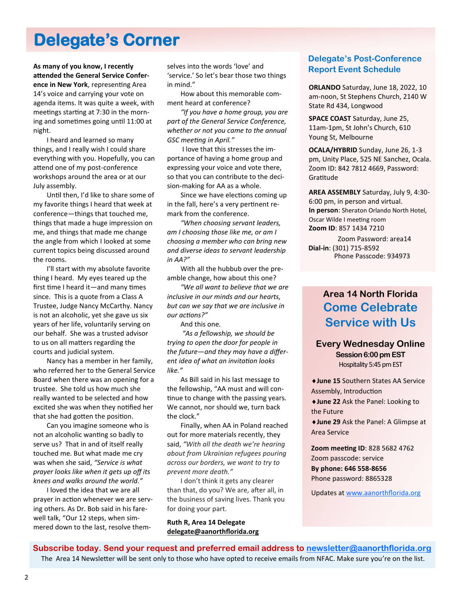## **Delegate's Corner**

**As many of you know, I recently attended the General Service Conference in New York**, representing Area 14's voice and carrying your vote on agenda items. It was quite a week, with meetings starting at 7:30 in the morning and sometimes going until 11:00 at night.

I heard and learned so many things, and I really wish I could share everything with you. Hopefully, you can attend one of my post-conference workshops around the area or at our July assembly.

Until then, I'd like to share some of my favorite things I heard that week at conference—things that touched me, things that made a huge impression on me, and things that made me change the angle from which I looked at some current topics being discussed around the rooms.

I'll start with my absolute favorite thing I heard. My eyes teared up the first time I heard it—and many times since. This is a quote from a Class A Trustee, Judge Nancy McCarthy. Nancy is not an alcoholic, yet she gave us six years of her life, voluntarily serving on our behalf. She was a trusted advisor to us on all matters regarding the courts and judicial system.

Nancy has a member in her family, who referred her to the General Service Board when there was an opening for a trustee. She told us how much she really wanted to be selected and how excited she was when they notified her that she had gotten the position.

Can you imagine someone who is not an alcoholic wanting so badly to serve us? That in and of itself really touched me. But what made me cry was when she said, *"Service is what prayer looks like when it gets up off its knees and walks around the world."*

I loved the idea that we are all prayer in action whenever we are serving others. As Dr. Bob said in his farewell talk, "Our 12 steps, when simmered down to the last, resolve them-

selves into the words 'love' and 'service.' So let's bear those two things in mind."

How about this memorable comment heard at conference?

*"If you have a home group, you are part of the General Service Conference, whether or not you came to the annual GSC meeting in April."* 

I love that this stresses the importance of having a home group and expressing your voice and vote there, so that you can contribute to the decision-making for AA as a whole.

Since we have elections coming up in the fall, here's a very pertinent remark from the conference.

*"When choosing servant leaders, am I choosing those like me, or am I choosing a member who can bring new and diverse ideas to servant leadership in AA?"*

With all the hubbub over the preamble change, how about this one?

*"We all want to believe that we are inclusive in our minds and our hearts, but can we say that we are inclusive in our actions?"* 

And this one.

*"As a fellowship, we should be trying to open the door for people in the future—and they may have a different idea of what an invitation looks like."*

As Bill said in his last message to the fellowship, "AA must and will continue to change with the passing years. We cannot, nor should we, turn back the clock."

Finally, when AA in Poland reached out for more materials recently, they said, *"With all the death we're hearing about from Ukrainian refugees pouring across our borders, we want to try to prevent more death."*

I don't think it gets any clearer than that, do you? We are, after all, in the business of saving lives. Thank you for doing your part.

**Ruth R, Area 14 Delegate [delegate@aanorthflorida.org](mailto:delegate@aanorthflorida.org)**

## **Delegate's Post-Conference Report Event Schedule**

**ORLANDO** Saturday, June 18, 2022, 10 am-noon, St Stephens Church, 2140 W State Rd 434, Longwood

**SPACE COAST** Saturday, June 25, 11am-1pm, St John's Church, 610 Young St, Melbourne

**OCALA/HYBRID** Sunday, June 26, 1-3 pm, Unity Place, 525 NE Sanchez, Ocala. Zoom ID: 842 7812 4669, Password: Gratitude

**AREA ASSEMBLY** Saturday, July 9, 4:30- 6:00 pm, in person and virtual. **In person**: Sheraton Orlando North Hotel, Oscar Wilde I meeting room **Zoom ID**: 857 1434 7210

 Zoom Password: area14 **Dial-in**: (301) 715-8592 Phone Passcode: 934973

## **Area 14 North Florida Come Celebrate Service with Us**

## **Every Wednesday Online Session 6:00 pm EST**  Hospitality 5:45 pm EST

**June 15** Southern States AA Service Assembly, Introduction

**June 22** Ask the Panel: Looking to the Future

**June 29** Ask the Panel: A Glimpse at Area Service

**Zoom meeting ID**: 828 5682 4762 Zoom passcode: service **By phone: 646 558-8656** Phone password: 8865328

Updates at [www.aanorthflorida.org](https://www.aanorthflorida.org/events/2022-03WedEvents.pdf)

**Subscribe today. Send your request and preferred email address to [newsletter@aanorthflorida.org](mailto:newsletter@aanorthflorida.org)** The Area 14 Newsletter will be sent only to those who have opted to receive emails from NFAC. Make sure you're on the list.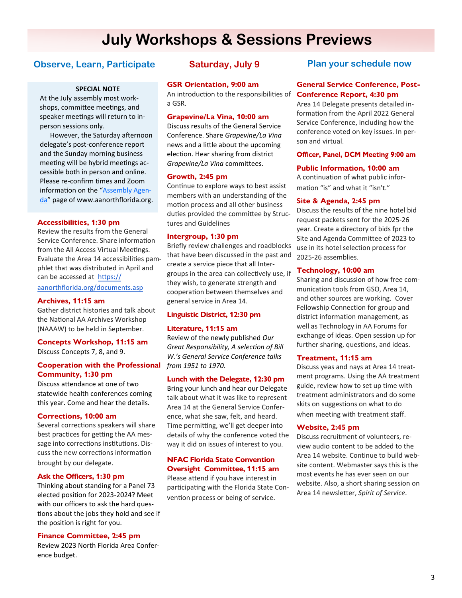## **July Workshops & Sessions Previews**

## **Observe, Learn, Participate Saturday, July 9**

## **SPECIAL NOTE**

At the July assembly most workshops, committee meetings, and speaker meetings will return to inperson sessions only.

However, the Saturday afternoon delegate's post-conference report and the Sunday morning business meeting will be hybrid meetings accessible both in person and online. Please re-confirm times and Zoom information on the "[Assembly Agen](https://www.aanorthflorida.org/assembly_agenda.asp)[da](https://www.aanorthflorida.org/assembly_agenda.asp)" page of www.aanorthflorida.org.

## **Accessibilities, 1:30 pm**

Review the results from the General Service Conference. Share information from the All Access Virtual Meetings. Evaluate the Area 14 accessibilities pamphlet that was distributed in April and can be accessed at [https://](https://aanorthflorida.org/documents.asp) [aanorthflorida.org/documents.asp](https://aanorthflorida.org/documents.asp)

#### **Archives, 11:15 am**

Gather district histories and talk about the National AA Archives Workshop (NAAAW) to be held in September.

## **Concepts Workshop, 11:15 am**  Discuss Concepts 7, 8, and 9.

## **Cooperation with the Professional Community, 1:30 pm**

Discuss attendance at one of two statewide health conferences coming this year. Come and hear the details.

## **Corrections, 10:00 am**

Several corrections speakers will share best practices for getting the AA message into corrections institutions. Discuss the new corrections information brought by our delegate.

#### **Ask the Officers, 1:30 pm**

Thinking about standing for a Panel 73 elected position for 2023-2024? Meet with our officers to ask the hard questions about the jobs they hold and see if the position is right for you.

#### **Finance Committee, 2:45 pm**

Review 2023 North Florida Area Conference budget.

## **GSR Orientation, 9:00 am**

An introduction to the responsibilities of a GSR.

## **Grapevine/La Vina, 10:00 am**

Discuss results of the General Service Conference. Share *Grapevine/La Vina* news and a little about the upcoming election. Hear sharing from district *Grapevine/La Vina* committees.

## **Growth, 2:45 pm**

Continue to explore ways to best assist members with an understanding of the motion process and all other business duties provided the committee by Structures and Guidelines

## **Intergroup, 1:30 pm**

Briefly review challenges and roadblocks that have been discussed in the past and create a service piece that all Intergroups in the area can collectively use, if they wish, to generate strength and cooperation between themselves and general service in Area 14.

## **Linguistic District, 12:30 pm**

### **Literature, 11:15 am**

Review of the newly published *Our Great Responsibility, A selection of Bill W.'s General Service Conference talks from 1951 to 1970*.

#### **Lunch with the Delegate, 12:30 pm**

Bring your lunch and hear our Delegate talk about what it was like to represent Area 14 at the General Service Conference, what she saw, felt, and heard. Time permitting, we'll get deeper into details of why the conference voted the way it did on issues of interest to you.

## **NFAC Florida State Convention Oversight Committee, 11:15 am**

.

Please attend if you have interest in participating with the Florida State Convention process or being of service.

## **Plan your schedule now**

## **General Service Conference, Post-Conference Report, 4:30 pm**

Area 14 Delegate presents detailed information from the April 2022 General Service Conference, including how the conference voted on key issues. In person and virtual.

## Officer, Panel, DCM Meeting 9:00 am

## **Public Information, 10:00 am**

A continuation of what public information "is" and what it "isn't."

## **Site & Agenda, 2:45 pm**

Discuss the results of the nine hotel bid request packets sent for the 2025-26 year. Create a directory of bids fpr the Site and Agenda Committee of 2023 to use in its hotel selection process for 2025-26 assemblies.

## **Technology, 10:00 am**

Sharing and discussion of how free communication tools from GSO, Area 14, and other sources are working. Cover Fellowship Connection for group and district information management, as well as Technology in AA Forums for exchange of ideas. Open session up for further sharing, questions, and ideas.

## **Treatment, 11:15 am**

Discuss yeas and nays at Area 14 treatment programs. Using the AA treatment guide, review how to set up time with treatment administrators and do some skits on suggestions on what to do when meeting with treatment staff.

#### **Website, 2:45 pm**

Discuss recruitment of volunteers, review audio content to be added to the Area 14 website. Continue to build website content. Webmaster says this is the most events he has ever seen on our website. Also, a short sharing session on Area 14 newsletter, *Spirit of Service*.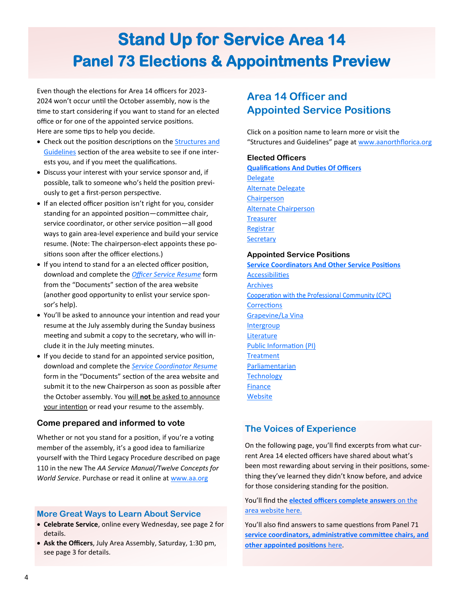## **Stand Up for Service Area 14 Panel 73 Elections & Appointments Preview**

Even though the elections for Area 14 officers for 2023- 2024 won't occur until the October assembly, now is the time to start considering if you want to stand for an elected office or for one of the appointed service positions. Here are some tips to help you decide.

- Check out the position descriptions on the [Structures and](https://www.aanorthflorida.org/structures_guidelines.asp)  [Guidelines](https://www.aanorthflorida.org/structures_guidelines.asp) section of the area website to see if one interests you, and if you meet the qualifications.
- Discuss your interest with your service sponsor and, if possible, talk to someone who's held the position previously to get a first-person perspective.
- If an elected officer position isn't right for you, consider standing for an appointed position—committee chair, service coordinator, or other service position—all good ways to gain area-level experience and build your service resume. (Note: The chairperson-elect appoints these positions soon after the officer elections.)
- If you intend to stand for a an elected officer position, download and complete the *[Officer Service Resume](https://www.aanorthflorida.org/docs/OfficerResume.pdf)* form from the "Documents" section of the area website (another good opportunity to enlist your service sponsor's help).
- You'll be asked to announce your intention and read your resume at the July assembly during the Sunday business meeting and submit a copy to the secretary, who will include it in the July meeting minutes.
- If you decide to stand for an appointed service position, download and complete the *[Service Coordinator Resume](https://www.aanorthflorida.org/docs/service-coordinator-resume-5-2-21.pdf)* form in the "Documents" section of the area website and submit it to the new Chairperson as soon as possible after the October assembly. You will **not** be asked to announce your intention or read your resume to the assembly.

## **Come prepared and informed to vote**

Whether or not you stand for a position, if you're a voting member of the assembly, it's a good idea to familiarize yourself with the Third Legacy Procedure described on page 110 in the new The *AA Service Manual/Twelve Concepts for World Service*. Purchase or read it online at [www.aa.org](https://www.aa.org/aa-service-manualtwelve-concepts-world-services)

## **More Great Ways to Learn About Service**

- **Celebrate Service**, online every Wednesday, see page 2 for details.
- **Ask the Officers**, July Area Assembly, Saturday, 1:30 pm, see page 3 for details.

## **Area 14 Officer and Appointed Service Positions**

Click on a position name to learn more or visit the "Structures and Guidelines" page at [www.aanorthflorica.org](http://www.aanorthflorica.org)

## **Elected Officers**

**[Qualifications And Duties Of Officers](https://www.aanorthflorida.org/structures_guidelines.asp#20) Delegate** [Alternate Delegate](https://www.aanorthflorida.org/structures_guidelines.asp#22) [Chairperson](https://www.aanorthflorida.org/structures_guidelines.asp#23)  [Alternate Chairperson](https://www.aanorthflorida.org/structures_guidelines.asp#24)  **Treasurer Registrar Secretary** 

## **Appointed Service Positions**

**[Service Coordinators And Other Service Positions](https://www.aanorthflorida.org/structures_guidelines.asp#07)** [Accessibilities](https://www.aanorthflorida.org/structures_guidelines.asp#08) [Archives](https://www.aanorthflorida.org/structures_guidelines.asp#09) Cooperation with the Professional Community (CPC) **[Corrections](https://www.aanorthflorida.org/structures_guidelines.asp#11)** [Grapevine/La Vina](https://www.aanorthflorida.org/structures_guidelines.asp#12) **[Intergroup](https://www.aanorthflorida.org/structures_guidelines.asp#13) [Literature](https://www.aanorthflorida.org/structures_guidelines.asp#14)** [Public Information \(PI\)](https://www.aanorthflorida.org/structures_guidelines.asp#15) **[Treatment](https://www.aanorthflorida.org/structures_guidelines.asp#16)** [Parliamentarian](https://www.aanorthflorida.org/structures_guidelines.asp#18) **[Technology](https://www.aanorthflorida.org/structures_guidelines.asp#48)** [Finance](https://www.aanorthflorida.org/structures_guidelines.asp#29) [Website](https://www.aanorthflorida.org/structures_guidelines.asp#32)

## **The Voices of Experience**

On the following page, you'll find excerpts from what current Area 14 elected officers have shared about what's been most rewarding about serving in their positions, something they've learned they didn't know before, and advice for those considering standing for the position.

## You'll find the **[elected officers complete answers](https://www.aanorthflorida.org/news/2022-area-14-spirit-of-service.-officer-elections-preview.pdf)** on the [area website here.](https://www.aanorthflorida.org/news/2022-area-14-spirit-of-service.-officer-elections-preview.pdf)

You'll also find answers to same questions from Panel 71 **[service coordinators, administrative committee chairs, and](https://www.aanorthflorida.org/news/2022-area-14-spirit-of-service.-service-positions-preview.pdf)  [other appointed positions](https://www.aanorthflorida.org/news/2022-area-14-spirit-of-service.-service-positions-preview.pdf)** here.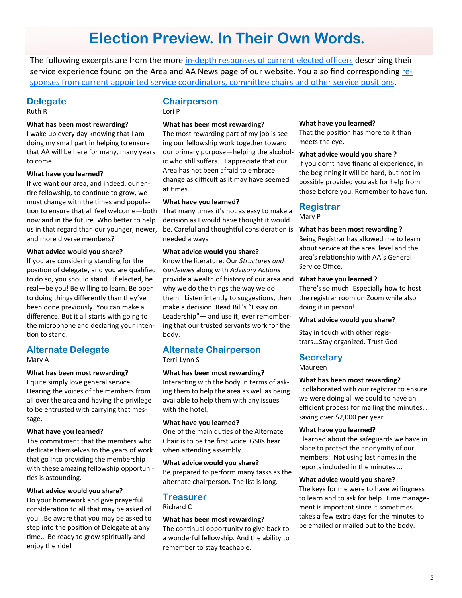## **Election Preview. In Their Own Words.**

The following excerpts are from the more in-[depth responses of current elected officers](https://www.aanorthflorida.org/news/2022-area-14-spirit-of-service.-officer-elections-preview.pdf) describing their service experience found on the Area and AA News page of our website. You also find corresponding [re](https://www.aanorthflorida.org/news/2022-area-14-spirit-of-service.-service-positions-preview.pdf)[sponses from current appointed service coordinators, committee chairs and other service positions.](https://www.aanorthflorida.org/news/2022-area-14-spirit-of-service.-service-positions-preview.pdf) 

## **Delegate**

Ruth R

## **What has been most rewarding?**

I wake up every day knowing that I am doing my small part in helping to ensure that AA will be here for many, many years to come.

## **What have you learned?**

If we want our area, and indeed, our entire fellowship, to continue to grow, we must change with the times and population to ensure that all feel welcome—both now and in the future. Who better to help us in that regard than our younger, newer, and more diverse members?

## **What advice would you share?**

If you are considering standing for the position of delegate, and you are qualified to do so, you should stand. If elected, be real—be you! Be willing to learn. Be open to doing things differently than they've been done previously. You can make a difference. But it all starts with going to the microphone and declaring your intention to stand.

## **Alternate Delegate**

Mary A

## **What has been most rewarding?**

I quite simply love general service… Hearing the voices of the members from all over the area and having the privilege to be entrusted with carrying that message.

## **What have you learned?**

The commitment that the members who dedicate themselves to the years of work that go into providing the membership with these amazing fellowship opportunities is astounding.

## **What advice would you share?**

Do your homework and give prayerful consideration to all that may be asked of you...Be aware that you may be asked to step into the position of Delegate at any time… Be ready to grow spiritually and enjoy the ride!

## **Chairperson**

Lori P

## **What has been most rewarding?**

The most rewarding part of my job is seeing our fellowship work together toward our primary purpose—helping the alcoholic who still suffers… I appreciate that our Area has not been afraid to embrace change as difficult as it may have seemed at times.

## **What have you learned?**

That many times it's not as easy to make a decision as I would have thought it would be. Careful and thoughtful consideration is **What has been most rewarding ?** needed always.

## **What advice would you share?**

Know the literature. Our *Structures and Guidelines* along with *Advisory Actions* provide a wealth of history of our area and **What have you learned ?** why we do the things the way we do them. Listen intently to suggestions, then make a decision. Read Bill's "Essay on Leadership"— and use it, ever remembering that our trusted servants work for the body.

## **Alternate Chairperson**

Terri-Lynn S

## **What has been most rewarding?**

Interacting with the body in terms of asking them to help the area as well as being available to help them with any issues with the hotel.

## **What have you learned?**

One of the main duties of the Alternate Chair is to be the first voice GSRs hear when attending assembly.

## **What advice would you share?**

Be prepared to perform many tasks as the alternate chairperson. The list is long.

## **Treasurer**

Richard C

## **What has been most rewarding?**

The continual opportunity to give back to a wonderful fellowship. And the ability to remember to stay teachable.

#### **What have you learned?**

That the position has more to it than meets the eye.

## **What advice would you share ?**

If you don't have financial experience, in the beginning it will be hard, but not impossible provided you ask for help from those before you. Remember to have fun.

## **Registrar**

Mary P

Being Registrar has allowed me to learn about service at the area level and the area's relationship with AA's General Service Office.

There's so much! Especially how to host the registrar room on Zoom while also doing it in person!

## **What advice would you share?**

Stay in touch with other registrars...Stay organized. Trust God!

## **Secretary**

Maureen

#### **What has been most rewarding?**

I collaborated with our registrar to ensure we were doing all we could to have an efficient process for mailing the minutes… saving over \$2,000 per year.

#### **What have you learned?**

I learned about the safeguards we have in place to protect the anonymity of our members: Not using last names in the reports included in the minutes ...

#### **What advice would you share?**

The keys for me were to have willingness to learn and to ask for help. Time management is important since it sometimes takes a few extra days for the minutes to be emailed or mailed out to the body.